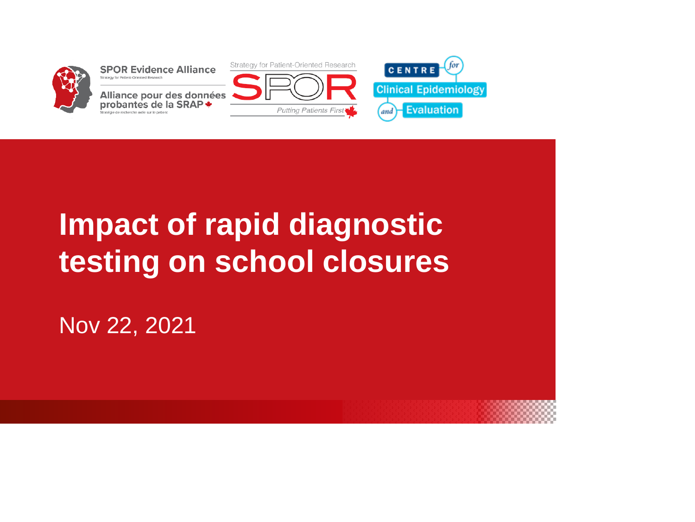

# **Impact of rapid diagnostic testing on school closures**

Nov 22, 2021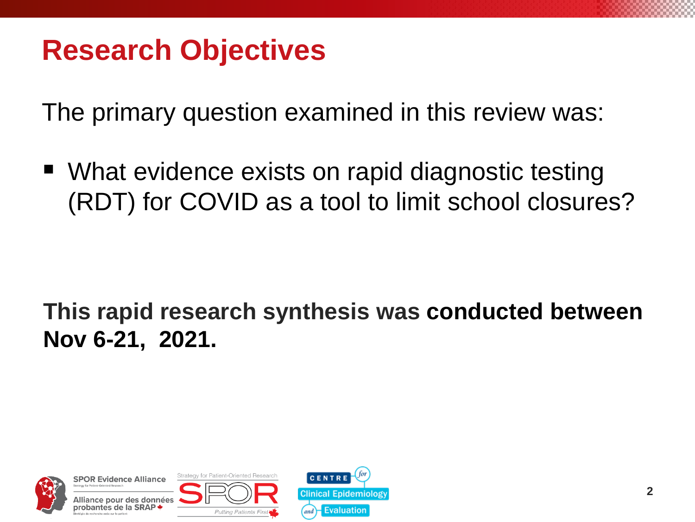## **Research Objectives**

The primary question examined in this review was:

■ What evidence exists on rapid diagnostic testing (RDT) for COVID as a tool to limit school closures?

#### **This rapid research synthesis was conducted between Nov 6-21, 2021.**



**Strategy for Patient-Oriented Research SPOR Evidence Alliance** données



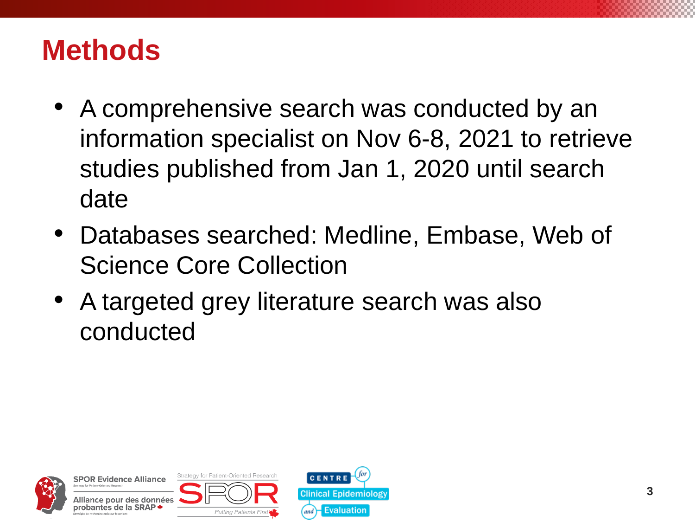### **Methods**

- A comprehensive search was conducted by an information specialist on Nov 6-8, 2021 to retrieve studies published from Jan 1, 2020 until search date
- Databases searched: Medline, Embase, Web of Science Core Collection
- A targeted grey literature search was also conducted



Strategy for Patient-Oriented Research **SPOR Evidence Alliance** Alliance pour des données probantes de la SRAP



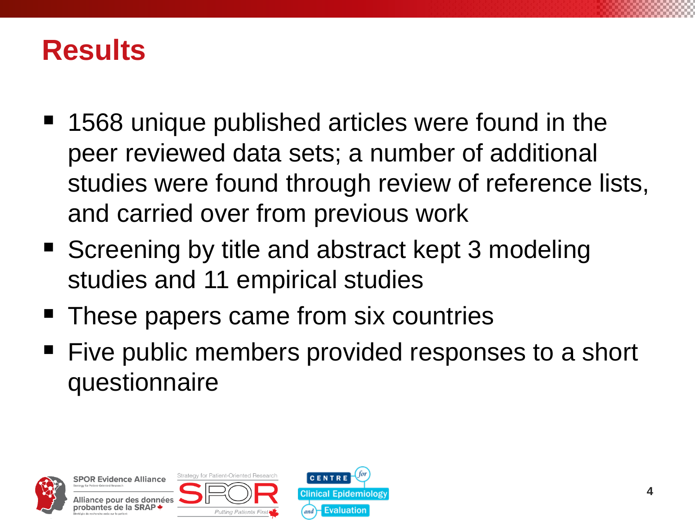#### **Results**

- 1568 unique published articles were found in the peer reviewed data sets; a number of additional studies were found through review of reference lists, and carried over from previous work
- Screening by title and abstract kept 3 modeling studies and 11 empirical studies
- These papers came from six countries
- Five public members provided responses to a short questionnaire



Strategy for Patient-Oriented Research **SPOR Evidence Alliance** ce pour des données ırobantes de la SRΔP **Putting Patients Firs** 

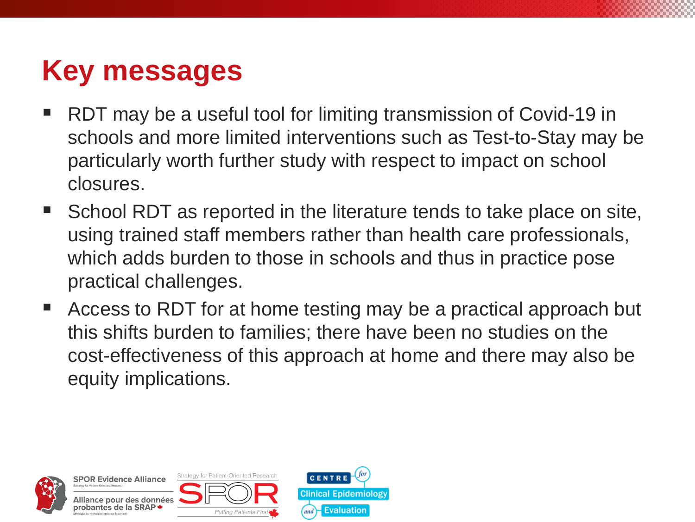# **Key messages**

- RDT may be a useful tool for limiting transmission of Covid-19 in schools and more limited interventions such as Test-to-Stay may be particularly worth further study with respect to impact on school closures.
- School RDT as reported in the literature tends to take place on site, using trained staff members rather than health care professionals, which adds burden to those in schools and thus in practice pose practical challenges.
- Access to RDT for at home testing may be a practical approach but this shifts burden to families; there have been no studies on the cost-effectiveness of this approach at home and there may also be equity implications.



Strategy for Patient-Oriented Research **SPOR Evidence Alliance** Illiance pour des données probantes de la SRAP **\*** Puttina Patients First

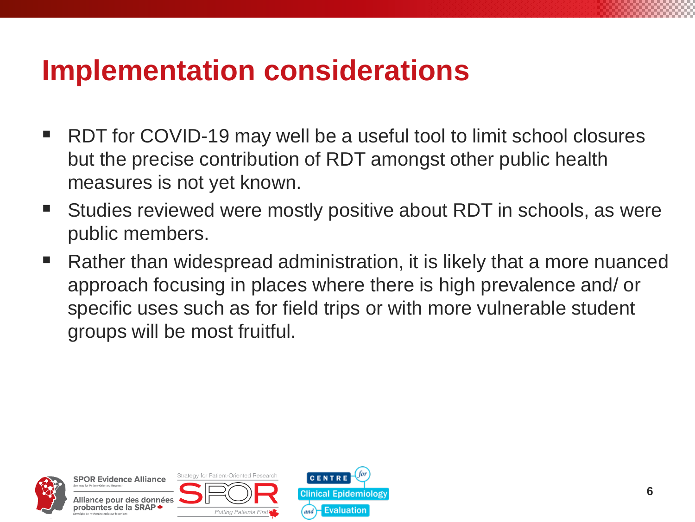### **Implementation considerations**

- RDT for COVID-19 may well be a useful tool to limit school closures but the precise contribution of RDT amongst other public health measures is not yet known.
- Studies reviewed were mostly positive about RDT in schools, as were public members.
- Rather than widespread administration, it is likely that a more nuanced approach focusing in places where there is high prevalence and/ or specific uses such as for field trips or with more vulnerable student groups will be most fruitful.



Strategy for Patient-Oriented Research **SPOR Evidence Alliance** Alliance pour des données probantes de la SRAP



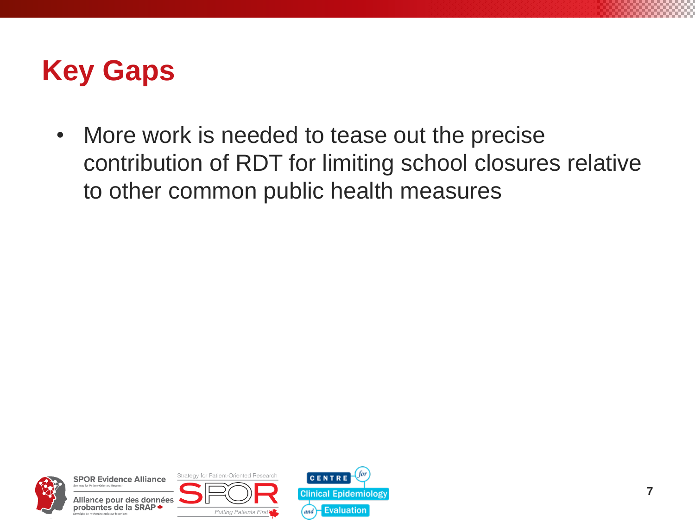### **Key Gaps**

• More work is needed to tease out the precise contribution of RDT for limiting school closures relative to other common public health measures



**SPOR Evidence Alliance** Alliance pour des données probantes de la SRAP +



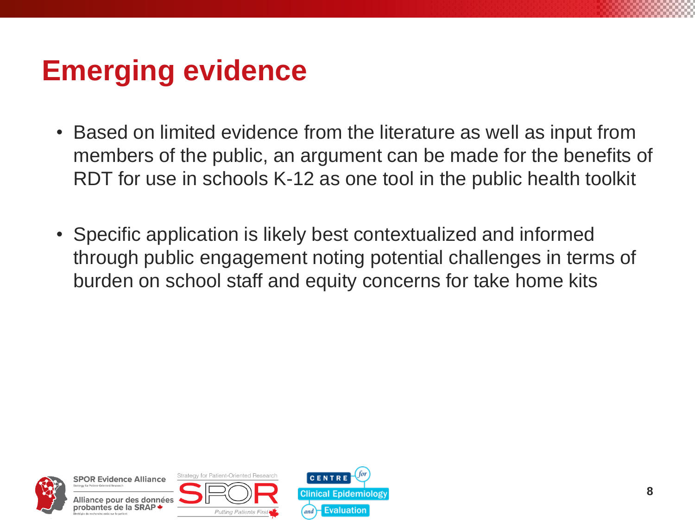# **Emerging evidence**

- Based on limited evidence from the literature as well as input from members of the public, an argument can be made for the benefits of RDT for use in schools K-12 as one tool in the public health toolkit
- Specific application is likely best contextualized and informed through public engagement noting potential challenges in terms of burden on school staff and equity concerns for take home kits



**SPOR Evidence Alliance** Alliance pour des données probantes de la SRAP



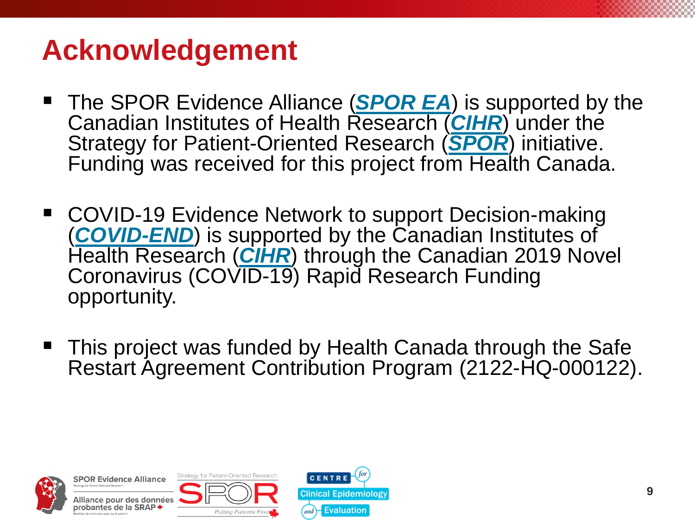# **Acknowledgement**

- **The SPOR Evidence Alliance ([SPOR EA](http://www.sporevidencealliance.ca/))** is supported by the Canadian Institutes of Health Research (*[CIHR](http://www.cihr-irsc.gc.ca/e/193.html)*) under the Strategy for Patient-Oriented Research (*[SPOR](http://www.cihr-irsc.gc.ca/e/41204.html)*) initiative. Funding was received for this project from Health Canada.
- COVID-19 Evidence Network to support Decision-making (*[COVID-END](https://www.mcmasterforum.org/networks/covid-end)*) is supported by the Canadian Institutes of Health Research (**[CIHR](http://www.cihr-irsc.gc.ca/e/193.html)**) through the Canadian 2019 Novel Coronavirus (COVID-19) Rapid Research Funding opportunity.
- This project was funded by Health Canada through the Safe Restart Agreement Contribution Program (2122-HQ-000122).



**SPOR Evidence Alliance** Alliance pour des données probantes de la SRAP **\***